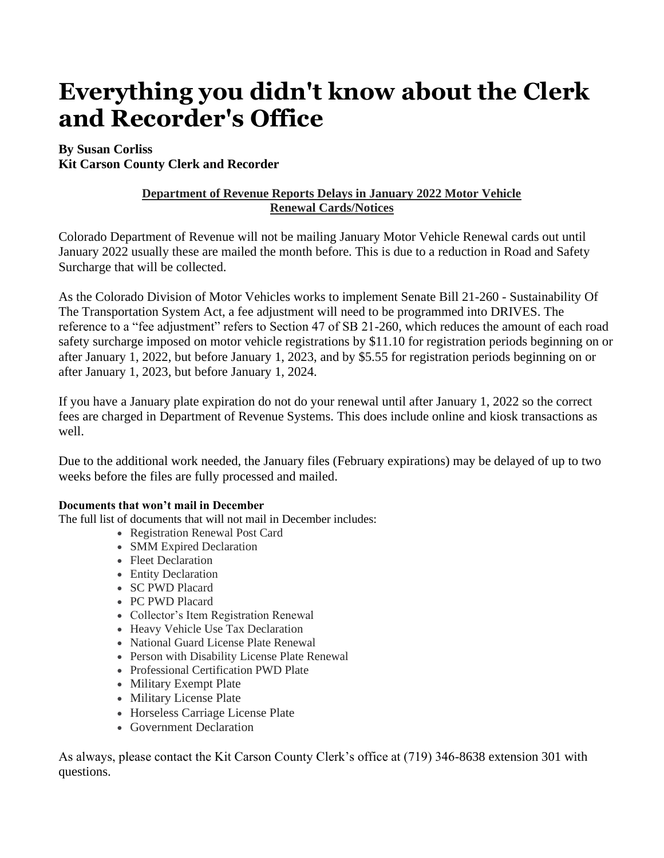# **Everything you didn't know about the Clerk and Recorder's Office**

## **By Susan Corliss**

**Kit Carson County Clerk and Recorder**

## **Department of Revenue Reports Delays in January 2022 Motor Vehicle Renewal Cards/Notices**

Colorado Department of Revenue will not be mailing January Motor Vehicle Renewal cards out until January 2022 usually these are mailed the month before. This is due to a reduction in Road and Safety Surcharge that will be collected.

As the Colorado Division of Motor Vehicles works to implement Senate Bill 21-260 - Sustainability Of The Transportation System Act, a fee adjustment will need to be programmed into DRIVES. The reference to a "fee adjustment" refers to Section 47 of SB 21-260, which reduces the amount of each road safety surcharge imposed on motor vehicle registrations by \$11.10 for registration periods beginning on or after January 1, 2022, but before January 1, 2023, and by \$5.55 for registration periods beginning on or after January 1, 2023, but before January 1, 2024.

If you have a January plate expiration do not do your renewal until after January 1, 2022 so the correct fees are charged in Department of Revenue Systems. This does include online and kiosk transactions as well.

Due to the additional work needed, the January files (February expirations) may be delayed of up to two weeks before the files are fully processed and mailed.

#### **Documents that won't mail in December**

The full list of documents that will not mail in December includes:

- Registration Renewal Post Card
- SMM Expired Declaration
- Fleet Declaration
- Entity Declaration
- SC PWD Placard
- PC PWD Placard
- Collector's Item Registration Renewal
- Heavy Vehicle Use Tax Declaration
- National Guard License Plate Renewal
- Person with Disability License Plate Renewal
- Professional Certification PWD Plate
- Military Exempt Plate
- Military License Plate
- Horseless Carriage License Plate
- Government Declaration

As always, please contact the Kit Carson County Clerk's office at (719) 346-8638 extension 301 with questions.